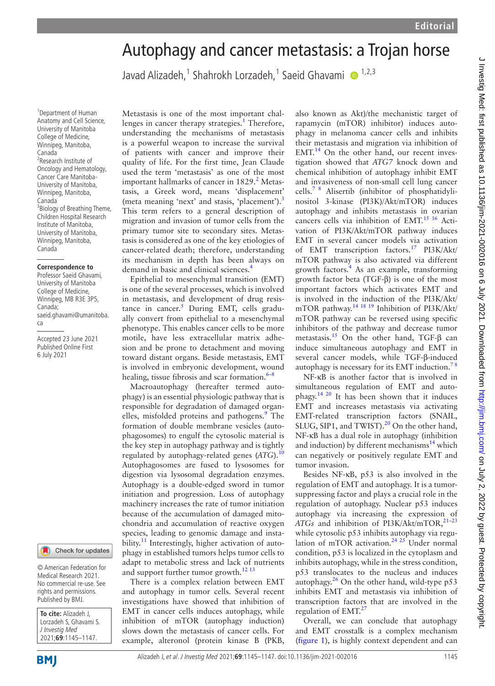# Autophagy and cancer metastasis: a Trojan horse

Javad Alizadeh,<sup>1</sup> Shahrokh Lorzadeh,<sup>1</sup> Saeid Ghavami @ <sup>1,2,3</sup>

1 Department of Human Anatomy and Cell Science, University of Manitoba College of Medicine, Winnipeg, Manitoba, Canada 2 Research Institute of Oncology and Hematology, Cancer Care Manitoba-University of Manitoba, Winnipeg, Manitoba, Canada <sup>3</sup> Biology of Breathing Theme, Children Hospital Research Institute of Manitoba, University of Manitoba, Winnipeg, Manitoba, Canada

#### **Correspondence to**

Professor Saeid Ghavami, University of Manitoba College of Medicine, Winnipeg, MB R3E 3P5, Canada; saeid.ghavami@umanitoba. ca

Accepted 23 June 2021 Published Online First 6 July 2021

#### Check for updates

© American Federation for Medical Research 2021. No commercial re-use. See rights and permissions. Published by BMJ.

| To cite: Alizadeh J,      |
|---------------------------|
| Lorzadeh S, Ghavami S.    |
| J Investig Med            |
| $ 2021; 69: 1145 - 1147.$ |

Metastasis is one of the most important chal-lenges in cancer therapy strategies.<sup>[1](#page-1-0)</sup> Therefore, understanding the mechanisms of metastasis is a powerful weapon to increase the survival of patients with cancer and improve their quality of life. For the first time, Jean Claude used the term 'metastasis' as one of the most important hallmarks of cancer in 18[2](#page-1-1)9.<sup>2</sup> Metastasis, a Greek word, means 'displacement' (meta meaning 'next' and stasis, 'placement').<sup>[3](#page-1-2)</sup> This term refers to a general description of migration and invasion of tumor cells from the primary tumor site to secondary sites. Metastasis is considered as one of the key etiologies of cancer-related death; therefore, understanding its mechanism in depth has been always on demand in basic and clinical sciences.<sup>4</sup>

Epithelial to mesenchymal transition (EMT) is one of the several processes, which is involved in metastasis, and development of drug resistance in cancer.<sup>5</sup> During EMT, cells gradually convert from epithelial to a mesenchymal phenotype. This enables cancer cells to be more motile, have less extracellular matrix adhesion and be prone to detachment and moving toward distant organs. Beside metastasis, EMT is involved in embryonic development, wound healing, tissue fibrosis and scar formation. $6-8$ 

Macroautophagy (hereafter termed autophagy) is an essential physiologic pathway that is responsible for degradation of damaged organ-elles, misfolded proteins and pathogens.<sup>[9](#page-2-0)</sup> The formation of double membrane vesicles (autophagosomes) to engulf the cytosolic material is the key step in autophagy pathway and is tightly regulated by autophagy-related genes (*ATG*)[.10](#page-2-1) Autophagosomes are fused to lysosomes for digestion via lysosomal degradation enzymes. Autophagy is a double-edged sword in tumor initiation and progression. Loss of autophagy machinery increases the rate of tumor initiation because of the accumulation of damaged mitochondria and accumulation of reactive oxygen species, leading to genomic damage and instability.<sup>11</sup> Interestingly, higher activation of autophagy in established tumors helps tumor cells to adapt to metabolic stress and lack of nutrients and support further tumor growth. $^{12}$ <sup>13</sup>

There is a complex relation between EMT and autophagy in tumor cells. Several recent investigations have showed that inhibition of EMT in cancer cells induces autophagy, while inhibition of mTOR (autophagy induction) slows down the metastasis of cancer cells. For example, alteronol (protein kinase B (PKB,

also known as Akt)/the mechanistic target of rapamycin (mTOR) inhibitor) induces autophagy in melanoma cancer cells and inhibits their metastasis and migration via inhibition of  $EMT<sup>14</sup>$  On the other hand, our recent investigation showed that *ATG7* knock down and chemical inhibition of autophagy inhibit EMT and invasiveness of non-small cell lung cancer cells[.7 8](#page-1-6) Alisertib (inhibitor of phosphatidylinositol 3-kinase (PI3K)/Akt/mTOR) induces autophagy and inhibits metastasis in ovarian cancers cells via inhibition of EMT.[15 16](#page-2-5) Activation of PI3K/Akt/mTOR pathway induces EMT in several cancer models via activation of EMT transcription factors.[17](#page-2-6) PI3K/Akt/ mTOR pathway is also activated via different growth factors.[4](#page-1-3) As an example, transforming growth factor beta (TGF-β) is one of the most important factors which activates EMT and is involved in the induction of the PI3K/Akt/ mTOR pathway.[14 18 19](#page-2-4) Inhibition of PI3K/Akt/ mTOR pathway can be reversed using specific inhibitors of the pathway and decrease tumor metastasis[.15](#page-2-5) On the other hand, TGF-β can induce simultaneous autophagy and EMT in several cancer models, while TGF-β-induced autophagy is necessary for its EMT induction.<sup>7</sup>

NF-κB is another factor that is involved in simultaneous regulation of EMT and autophagy[.14 20](#page-2-4) It has been shown that it induces EMT and increases metastasis via activating EMT-related transcription factors (SNAIL, SLUG, SIP1, and TWIST).<sup>20</sup> On the other hand, NF-κB has a dual role in autophagy (inhibition and induction) by different mechanisms $^{14}$  which can negatively or positively regulate EMT and tumor invasion.

Besides NF-κB, p53 is also involved in the regulation of EMT and autophagy. It is a tumorsuppressing factor and plays a crucial role in the regulation of autophagy. Nuclear p53 induces autophagy via increasing the expression of ATGs and inhibition of PI3K/Akt/mTOR,<sup>21-23</sup> while cytosolic p53 inhibits autophagy via regulation of mTOR activation.<sup>24 25</sup> Under normal condition, p53 is localized in the cytoplasm and inhibits autophagy, while in the stress condition, p53 translocates to the nucleus and induces autophagy. $^{26}$  On the other hand, wild-type p53 inhibits EMT and metastasis via inhibition of transcription factors that are involved in the regulation of  $EMT<sup>27</sup>$  $EMT<sup>27</sup>$  $EMT<sup>27</sup>$ 

Overall, we can conclude that autophagy and EMT crosstalk is a complex mechanism [\(figure](#page-1-7) 1), is highly context dependent and can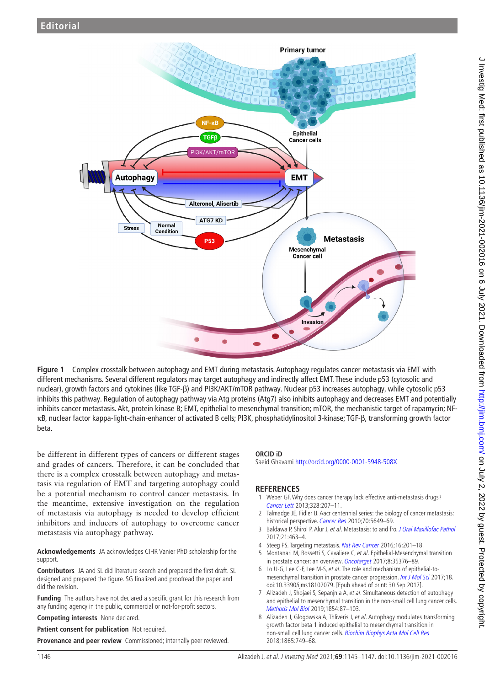

<span id="page-1-7"></span>**Figure 1** Complex crosstalk between autophagy and EMT during metastasis. Autophagy regulates cancer metastasis via EMT with different mechanisms. Several different regulators may target autophagy and indirectly affect EMT. These include p53 (cytosolic and nuclear), growth factors and cytokines (like TGF-β) and PI3K/AKT/mTOR pathway. Nuclear p53 increases autophagy, while cytosolic p53 inhibits this pathway. Regulation of autophagy pathway via Atg proteins (Atg7) also inhibits autophagy and decreases EMT and potentially inhibits cancer metastasis. Akt, protein kinase B; EMT, epithelial to mesenchymal transition; mTOR, the mechanistic target of rapamycin; NFκB, nuclear factor kappa-light-chain-enhancer of activated B cells; PI3K, phosphatidylinositol 3-kinase; TGF-β, transforming growth factor beta.

be different in different types of cancers or different stages and grades of cancers. Therefore, it can be concluded that there is a complex crosstalk between autophagy and metastasis via regulation of EMT and targeting autophagy could be a potential mechanism to control cancer metastasis. In the meantime, extensive investigation on the regulation of metastasis via autophagy is needed to develop efficient inhibitors and inducers of autophagy to overcome cancer metastasis via autophagy pathway.

**Acknowledgements** JA acknowledges CIHR Vanier PhD scholarship for the support.

**Contributors** JA and SL did literature search and prepared the first draft. SL designed and prepared the figure. SG finalized and proofread the paper and did the revision.

**Funding** The authors have not declared a specific grant for this research from any funding agency in the public, commercial or not-for-profit sectors.

**Competing interests** None declared.

**Patient consent for publication** Not required.

Provenance and peer review Commissioned; internally peer reviewed.

### **ORCID iD**

Saeid Ghavami<http://orcid.org/0000-0001-5948-508X>

## **REFERENCES**

- <span id="page-1-0"></span>1 Weber GF. Why does cancer therapy lack effective anti-metastasis drugs? [Cancer Lett](http://dx.doi.org/10.1016/j.canlet.2012.09.025) 2013;328:207–11.
- <span id="page-1-1"></span>2 Talmadge JE, Fidler IJ. Aacr centennial series: the biology of cancer metastasis: historical perspective. [Cancer Res](http://dx.doi.org/10.1158/0008-5472.CAN-10-1040) 2010;70:5649-69.
- <span id="page-1-2"></span>3 Baldawa P, Shirol P, Alur J, et al. Metastasis: to and fro. [J Oral Maxillofac Pathol](http://dx.doi.org/10.4103/jomfp.JOMFP_158_17) 2017;21:463–4.
- <span id="page-1-3"></span>4 Steeg PS. Targeting metastasis. [Nat Rev Cancer](http://dx.doi.org/10.1038/nrc.2016.25) 2016;16:201-18.
- <span id="page-1-4"></span>Montanari M, Rossetti S, Cavaliere C, et al. Epithelial-Mesenchymal transition in prostate cancer: an overview. [Oncotarget](http://dx.doi.org/10.18632/oncotarget.15686) 2017;8:35376–89.
- <span id="page-1-5"></span>6 Lo U-G, Lee C-F, Lee M-S, et al. The role and mechanism of epithelial-to-mesenchymal transition in prostate cancer progression. [Int J Mol Sci](http://dx.doi.org/10.3390/ijms18102079) 2017;18. doi:10.3390/ijms18102079. [Epub ahead of print: 30 Sep 2017].
- <span id="page-1-6"></span>7 Alizadeh J, Shojaei S, Sepanjnia A, et al. Simultaneous detection of autophagy and epithelial to mesenchymal transition in the non-small cell lung cancer cells. [Methods Mol Biol](http://dx.doi.org/10.1007/7651_2017_84) 2019;1854:87-103.
- 8 Alizadeh J, Glogowska A, Thliveris J, et al. Autophagy modulates transforming growth factor beta 1 induced epithelial to mesenchymal transition in non-small cell lung cancer cells. [Biochim Biophys Acta Mol Cell Res](http://dx.doi.org/10.1016/j.bbamcr.2018.02.007) 2018;1865:749–68.